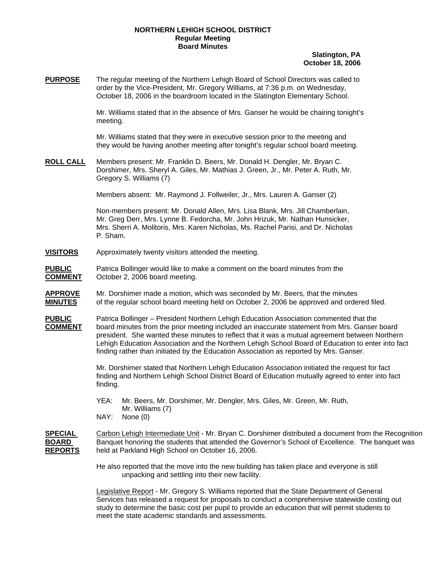## **NORTHERN LEHIGH SCHOOL DISTRICT Regular Meeting Board Minutes**

## **Slatington, PA October 18, 2006**

**PURPOSE** The regular meeting of the Northern Lehigh Board of School Directors was called to order by the Vice-President, Mr. Gregory Williams, at 7:36 p.m. on Wednesday, October 18, 2006 in the boardroom located in the Slatington Elementary School.

> Mr. Williams stated that in the absence of Mrs. Ganser he would be chairing tonight's meeting.

Mr. Williams stated that they were in executive session prior to the meeting and they would be having another meeting after tonight's regular school board meeting.

**ROLL CALL** Members present: Mr. Franklin D. Beers, Mr. Donald H. Dengler, Mr. Bryan C. Dorshimer, Mrs. Sheryl A. Giles, Mr. Mathias J. Green, Jr., Mr. Peter A. Ruth, Mr. Gregory S. Williams (7)

Members absent: Mr. Raymond J. Follweiler, Jr., Mrs. Lauren A. Ganser (2)

Non-members present: Mr. Donald Allen, Mrs. Lisa Blank, Mrs. Jill Chamberlain, Mr. Greg Derr, Mrs. Lynne B. Fedorcha, Mr. John Hrizuk, Mr. Nathan Hunsicker, Mrs. Sherri A. Molitoris, Mrs. Karen Nicholas, Ms. Rachel Parisi, and Dr. Nicholas P. Sham.

- **VISITORS** Approximately twenty visitors attended the meeting.
- **PUBLIC** Patrica Bollinger would like to make a comment on the board minutes from the **COMMENT** October 2, 2006 board meeting.
- **APPROVE** Mr. Dorshimer made a motion, which was seconded by Mr. Beers, that the minutes **MINUTES** of the regular school board meeting held on October 2, 2006 be approved and ordered filed.

**PUBLIC** Patrica Bollinger – President Northern Lehigh Education Association commented that the **COMMENT** board minutes from the prior meeting included an inaccurate statement from Mrs. Ganser board president. She wanted these minutes to reflect that it was a mutual agreement between Northern Lehigh Education Association and the Northern Lehigh School Board of Education to enter into fact finding rather than initiated by the Education Association as reported by Mrs. Ganser.

> Mr. Dorshimer stated that Northern Lehigh Education Association initiated the request for fact finding and Northern Lehigh School District Board of Education mutually agreed to enter into fact finding.

- YEA: Mr. Beers, Mr. Dorshimer, Mr. Dengler, Mrs. Giles, Mr. Green, Mr. Ruth, Mr. Williams (7)
- NAY: None (0)

**SPECIAL** Carbon Lehigh Intermediate Unit - Mr. Bryan C. Dorshimer distributed a document from the Recognition **BOARD** Banquet honoring the students that attended the Governor's School of Excellence. The banquet was **REPORTS** held at Parkland High School on October 16, 2006.

> He also reported that the move into the new building has taken place and everyone is still unpacking and settling into their new facility.

 Legislative Report - Mr. Gregory S. Williams reported that the State Department of General Services has released a request for proposals to conduct a comprehensive statewide costing out study to determine the basic cost per pupil to provide an education that will permit students to meet the state academic standards and assessments.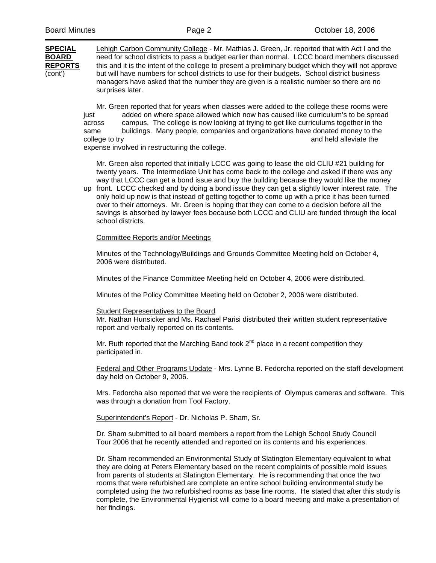**SPECIAL** Lehigh Carbon Community College - Mr. Mathias J. Green, Jr. reported that with Act I and the **BOARD** need for school districts to pass a budget earlier than normal. LCCC board members discussed **REPORTS** this and it is the intent of the college to present a preliminary budget which they will not approve (cont') but will have numbers for school districts to use for their budgets. School district business managers have asked that the number they are given is a realistic number so there are no surprises later.

> Mr. Green reported that for years when classes were added to the college these rooms were just added on where space allowed which now has caused like curriculum's to be spread across campus. The college is now looking at trying to get like curriculums together in the same buildings. Many people, companies and organizations have donated money to the college to try and held alleviate the college to try and held alleviate the college to try expense involved in restructuring the college.

 Mr. Green also reported that initially LCCC was going to lease the old CLIU #21 building for twenty years. The Intermediate Unit has come back to the college and asked if there was any way that LCCC can get a bond issue and buy the building because they would like the money

up front. LCCC checked and by doing a bond issue they can get a slightly lower interest rate. The only hold up now is that instead of getting together to come up with a price it has been turned over to their attorneys. Mr. Green is hoping that they can come to a decision before all the savings is absorbed by lawyer fees because both LCCC and CLIU are funded through the local school districts.

## Committee Reports and/or Meetings

Minutes of the Technology/Buildings and Grounds Committee Meeting held on October 4, 2006 were distributed.

Minutes of the Finance Committee Meeting held on October 4, 2006 were distributed.

Minutes of the Policy Committee Meeting held on October 2, 2006 were distributed.

## Student Representatives to the Board

Mr. Nathan Hunsicker and Ms. Rachael Parisi distributed their written student representative report and verbally reported on its contents.

Mr. Ruth reported that the Marching Band took  $2^{nd}$  place in a recent competition thev participated in.

Federal and Other Programs Update - Mrs. Lynne B. Fedorcha reported on the staff development day held on October 9, 2006.

 Mrs. Fedorcha also reported that we were the recipients of Olympus cameras and software. This was through a donation from Tool Factory.

Superintendent's Report - Dr. Nicholas P. Sham, Sr.

Dr. Sham submitted to all board members a report from the Lehigh School Study Council Tour 2006 that he recently attended and reported on its contents and his experiences.

Dr. Sham recommended an Environmental Study of Slatington Elementary equivalent to what they are doing at Peters Elementary based on the recent complaints of possible mold issues from parents of students at Slatington Elementary. He is recommending that once the two rooms that were refurbished are complete an entire school building environmental study be completed using the two refurbished rooms as base line rooms. He stated that after this study is complete, the Environmental Hygienist will come to a board meeting and make a presentation of her findings.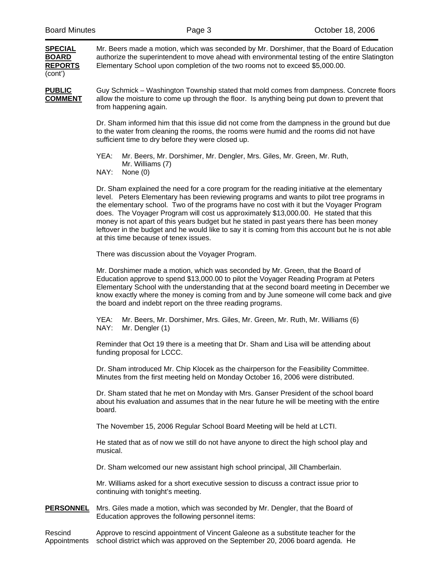**SPECIAL** Mr. Beers made a motion, which was seconded by Mr. Dorshimer, that the Board of Education **BOARD** authorize the superintendent to move ahead with environmental testing of the entire Slatington **REPORTS** Elementary School upon completion of the two rooms not to exceed \$5,000.00. (cont')

**PUBLIC** Guy Schmick – Washington Township stated that mold comes from dampness. Concrete floors **COMMENT** allow the moisture to come up through the floor. Is anything being put down to prevent that from happening again.

> Dr. Sham informed him that this issue did not come from the dampness in the ground but due to the water from cleaning the rooms, the rooms were humid and the rooms did not have sufficient time to dry before they were closed up.

 YEA: Mr. Beers, Mr. Dorshimer, Mr. Dengler, Mrs. Giles, Mr. Green, Mr. Ruth, Mr. Williams (7)

NAY: None (0)

Dr. Sham explained the need for a core program for the reading initiative at the elementary level. Peters Elementary has been reviewing programs and wants to pilot tree programs in the elementary school. Two of the programs have no cost with it but the Voyager Program does. The Voyager Program will cost us approximately \$13,000.00. He stated that this money is not apart of this years budget but he stated in past years there has been money leftover in the budget and he would like to say it is coming from this account but he is not able at this time because of tenex issues.

There was discussion about the Voyager Program.

Mr. Dorshimer made a motion, which was seconded by Mr. Green, that the Board of Education approve to spend \$13,000.00 to pilot the Voyager Reading Program at Peters Elementary School with the understanding that at the second board meeting in December we know exactly where the money is coming from and by June someone will come back and give the board and indebt report on the three reading programs.

 YEA: Mr. Beers, Mr. Dorshimer, Mrs. Giles, Mr. Green, Mr. Ruth, Mr. Williams (6) NAY: Mr. Dengler (1)

Reminder that Oct 19 there is a meeting that Dr. Sham and Lisa will be attending about funding proposal for LCCC.

Dr. Sham introduced Mr. Chip Klocek as the chairperson for the Feasibility Committee. Minutes from the first meeting held on Monday October 16, 2006 were distributed.

Dr. Sham stated that he met on Monday with Mrs. Ganser President of the school board about his evaluation and assumes that in the near future he will be meeting with the entire board.

The November 15, 2006 Regular School Board Meeting will be held at LCTI.

He stated that as of now we still do not have anyone to direct the high school play and musical.

Dr. Sham welcomed our new assistant high school principal, Jill Chamberlain.

Mr. Williams asked for a short executive session to discuss a contract issue prior to continuing with tonight's meeting.

**PERSONNEL** Mrs. Giles made a motion, which was seconded by Mr. Dengler, that the Board of Education approves the following personnel items:

Rescind Approve to rescind appointment of Vincent Galeone as a substitute teacher for the Appointments school district which was approved on the September 20, 2006 board agenda. He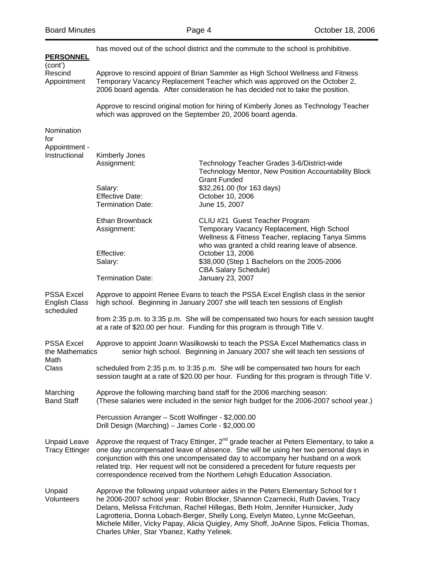| <b>PERSONNEL</b>                                       |                                                                                                                                                                                                                                                  | has moved out of the school district and the commute to the school is prohibitive.                                                                                                                                                                                                                                                                                                                                                              |  |
|--------------------------------------------------------|--------------------------------------------------------------------------------------------------------------------------------------------------------------------------------------------------------------------------------------------------|-------------------------------------------------------------------------------------------------------------------------------------------------------------------------------------------------------------------------------------------------------------------------------------------------------------------------------------------------------------------------------------------------------------------------------------------------|--|
| (cont')<br>Rescind<br>Appointment                      | Approve to rescind appoint of Brian Sammler as High School Wellness and Fitness<br>Temporary Vacancy Replacement Teacher which was approved on the October 2,<br>2006 board agenda. After consideration he has decided not to take the position. |                                                                                                                                                                                                                                                                                                                                                                                                                                                 |  |
|                                                        | Approve to rescind original motion for hiring of Kimberly Jones as Technology Teacher<br>which was approved on the September 20, 2006 board agenda.                                                                                              |                                                                                                                                                                                                                                                                                                                                                                                                                                                 |  |
| Nomination<br>for                                      |                                                                                                                                                                                                                                                  |                                                                                                                                                                                                                                                                                                                                                                                                                                                 |  |
| Appointment -                                          |                                                                                                                                                                                                                                                  |                                                                                                                                                                                                                                                                                                                                                                                                                                                 |  |
| Instructional                                          | <b>Kimberly Jones</b><br>Assignment:                                                                                                                                                                                                             | Technology Teacher Grades 3-6/District-wide<br>Technology Mentor, New Position Accountability Block                                                                                                                                                                                                                                                                                                                                             |  |
|                                                        | Salary:<br><b>Effective Date:</b><br><b>Termination Date:</b>                                                                                                                                                                                    | <b>Grant Funded</b><br>\$32,261.00 (for 163 days)<br>October 10, 2006<br>June 15, 2007                                                                                                                                                                                                                                                                                                                                                          |  |
|                                                        |                                                                                                                                                                                                                                                  |                                                                                                                                                                                                                                                                                                                                                                                                                                                 |  |
|                                                        | Ethan Brownback<br>Assignment:                                                                                                                                                                                                                   | CLIU #21 Guest Teacher Program<br>Temporary Vacancy Replacement, High School<br>Wellness & Fitness Teacher, replacing Tanya Simms<br>who was granted a child rearing leave of absence.                                                                                                                                                                                                                                                          |  |
|                                                        | Effective:<br>Salary:                                                                                                                                                                                                                            | October 13, 2006<br>\$38,000 (Step 1 Bachelors on the 2005-2006<br><b>CBA Salary Schedule)</b>                                                                                                                                                                                                                                                                                                                                                  |  |
|                                                        | <b>Termination Date:</b>                                                                                                                                                                                                                         | January 23, 2007                                                                                                                                                                                                                                                                                                                                                                                                                                |  |
| <b>PSSA Excel</b><br><b>English Class</b><br>scheduled | Approve to appoint Renee Evans to teach the PSSA Excel English class in the senior<br>high school. Beginning in January 2007 she will teach ten sessions of English                                                                              |                                                                                                                                                                                                                                                                                                                                                                                                                                                 |  |
|                                                        |                                                                                                                                                                                                                                                  | from 2:35 p.m. to 3:35 p.m. She will be compensated two hours for each session taught<br>at a rate of \$20.00 per hour. Funding for this program is through Title V.                                                                                                                                                                                                                                                                            |  |
| <b>PSSA Excel</b><br>the Mathematics<br>Math           |                                                                                                                                                                                                                                                  | Approve to appoint Joann Wasilkowski to teach the PSSA Excel Mathematics class in<br>senior high school. Beginning in January 2007 she will teach ten sessions of                                                                                                                                                                                                                                                                               |  |
| Class                                                  |                                                                                                                                                                                                                                                  | scheduled from 2:35 p.m. to 3:35 p.m. She will be compensated two hours for each<br>session taught at a rate of \$20.00 per hour. Funding for this program is through Title V.                                                                                                                                                                                                                                                                  |  |
| Marching<br><b>Band Staff</b>                          | Approve the following marching band staff for the 2006 marching season:<br>(These salaries were included in the senior high budget for the 2006-2007 school year.)                                                                               |                                                                                                                                                                                                                                                                                                                                                                                                                                                 |  |
|                                                        | Percussion Arranger - Scott Wolfinger - \$2,000.00<br>Drill Design (Marching) - James Corle - \$2,000.00                                                                                                                                         |                                                                                                                                                                                                                                                                                                                                                                                                                                                 |  |
| <b>Unpaid Leave</b><br><b>Tracy Ettinger</b>           |                                                                                                                                                                                                                                                  | Approve the request of Tracy Ettinger, 2 <sup>nd</sup> grade teacher at Peters Elementary, to take a<br>one day uncompensated leave of absence. She will be using her two personal days in<br>conjunction with this one uncompensated day to accompany her husband on a work<br>related trip. Her request will not be considered a precedent for future requests per<br>correspondence received from the Northern Lehigh Education Association. |  |
| Unpaid<br>Volunteers                                   | Charles Uhler, Star Ybanez, Kathy Yelinek.                                                                                                                                                                                                       | Approve the following unpaid volunteer aides in the Peters Elementary School for t<br>he 2006-2007 school year: Robin Blocker, Shannon Czarnecki, Ruth Davies, Tracy<br>Delans, Melissa Fritchman, Rachel Hillegas, Beth Holm, Jennifer Hunsicker, Judy<br>Lagrotteria, Donna Lobach-Berger, Shelly Long, Evelyn Mateo, Lynne McGeehan,<br>Michele Miller, Vicky Papay, Alicia Quigley, Amy Shoff, JoAnne Sipos, Felicia Thomas,                |  |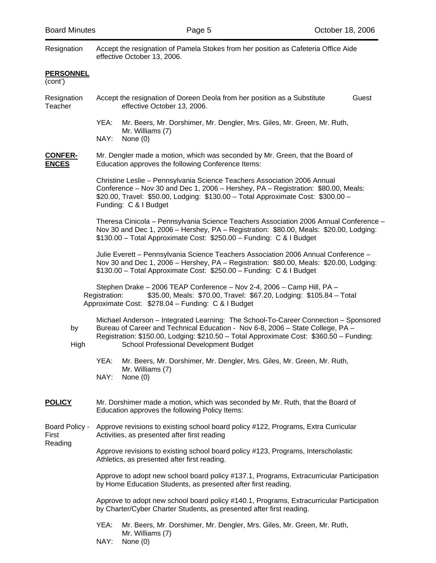NAY: None (0)

| Resignation                        | Accept the resignation of Pamela Stokes from her position as Cafeteria Office Aide<br>effective October 13, 2006.                                                                                                                                                                                          |  |  |
|------------------------------------|------------------------------------------------------------------------------------------------------------------------------------------------------------------------------------------------------------------------------------------------------------------------------------------------------------|--|--|
| <b>PERSONNEL</b><br>(cont')        |                                                                                                                                                                                                                                                                                                            |  |  |
| Resignation<br>Teacher             | Accept the resignation of Doreen Deola from her position as a Substitute<br>Guest<br>effective October 13, 2006.                                                                                                                                                                                           |  |  |
|                                    | YEA:<br>Mr. Beers, Mr. Dorshimer, Mr. Dengler, Mrs. Giles, Mr. Green, Mr. Ruth,<br>Mr. Williams (7)<br>NAY:<br>None $(0)$                                                                                                                                                                                  |  |  |
| <u>CONFER-</u><br><b>ENCES</b>     | Mr. Dengler made a motion, which was seconded by Mr. Green, that the Board of<br>Education approves the following Conference Items:                                                                                                                                                                        |  |  |
|                                    | Christine Leslie - Pennsylvania Science Teachers Association 2006 Annual<br>Conference – Nov 30 and Dec 1, 2006 – Hershey, PA – Registration: \$80.00, Meals:<br>\$20.00, Travel: \$50.00, Lodging: \$130.00 - Total Approximate Cost: \$300.00 -<br>Funding: C & I Budget                                 |  |  |
|                                    | Theresa Cinicola - Pennsylvania Science Teachers Association 2006 Annual Conference -<br>Nov 30 and Dec 1, 2006 - Hershey, PA - Registration: \$80.00, Meals: \$20.00, Lodging:<br>\$130.00 - Total Approximate Cost: \$250.00 - Funding: C & I Budget                                                     |  |  |
|                                    | Julie Everett - Pennsylvania Science Teachers Association 2006 Annual Conference -<br>Nov 30 and Dec 1, 2006 - Hershey, PA - Registration: \$80.00, Meals: \$20.00, Lodging:<br>\$130.00 - Total Approximate Cost: \$250.00 - Funding: C & I Budget                                                        |  |  |
|                                    | Stephen Drake - 2006 TEAP Conference - Nov 2-4, 2006 - Camp Hill, PA -<br>\$35.00, Meals: \$70.00, Travel: \$67.20, Lodging: \$105.84 - Total<br>Registration:<br>Approximate Cost: \$278.04 - Funding: C & I Budget                                                                                       |  |  |
| by<br>High                         | Michael Anderson - Integrated Learning: The School-To-Career Connection - Sponsored<br>Bureau of Career and Technical Education - Nov 6-8, 2006 - State College, PA -<br>Registration: \$150.00, Lodging: \$210.50 - Total Approximate Cost: \$360.50 - Funding:<br>School Professional Development Budget |  |  |
|                                    | YEA:<br>Mr. Beers, Mr. Dorshimer, Mr. Dengler, Mrs. Giles, Mr. Green, Mr. Ruth,<br>Mr. Williams (7)<br>NAY:<br>None $(0)$                                                                                                                                                                                  |  |  |
| <b>POLICY</b>                      | Mr. Dorshimer made a motion, which was seconded by Mr. Ruth, that the Board of<br>Education approves the following Policy Items:                                                                                                                                                                           |  |  |
| Board Policy -<br>First<br>Reading | Approve revisions to existing school board policy #122, Programs, Extra Curricular<br>Activities, as presented after first reading                                                                                                                                                                         |  |  |
|                                    | Approve revisions to existing school board policy #123, Programs, Interscholastic<br>Athletics, as presented after first reading.                                                                                                                                                                          |  |  |
|                                    | Approve to adopt new school board policy #137.1, Programs, Extracurricular Participation<br>by Home Education Students, as presented after first reading.                                                                                                                                                  |  |  |
|                                    | Approve to adopt new school board policy #140.1, Programs, Extracurricular Participation<br>by Charter/Cyber Charter Students, as presented after first reading.                                                                                                                                           |  |  |
|                                    | YEA:<br>Mr. Beers, Mr. Dorshimer, Mr. Dengler, Mrs. Giles, Mr. Green, Mr. Ruth,<br>Mr. Williams (7)                                                                                                                                                                                                        |  |  |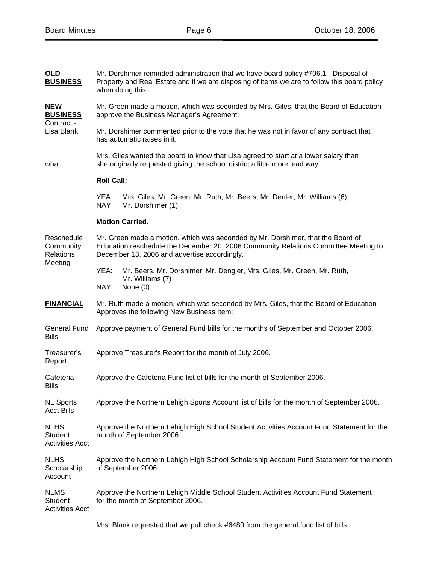| <b>OLD</b><br><b>BUSINESS</b>                          | Mr. Dorshimer reminded administration that we have board policy #706.1 - Disposal of<br>Property and Real Estate and if we are disposing of items we are to follow this board policy<br>when doing this.               |  |  |
|--------------------------------------------------------|------------------------------------------------------------------------------------------------------------------------------------------------------------------------------------------------------------------------|--|--|
| <b>NEW</b><br><b>BUSINESS</b><br>Contract -            | Mr. Green made a motion, which was seconded by Mrs. Giles, that the Board of Education<br>approve the Business Manager's Agreement.                                                                                    |  |  |
| Lisa Blank                                             | Mr. Dorshimer commented prior to the vote that he was not in favor of any contract that<br>has automatic raises in it.                                                                                                 |  |  |
| what                                                   | Mrs. Giles wanted the board to know that Lisa agreed to start at a lower salary than<br>she originally requested giving the school district a little more lead way.                                                    |  |  |
|                                                        | <b>Roll Call:</b>                                                                                                                                                                                                      |  |  |
|                                                        | YEA:<br>Mrs. Giles, Mr. Green, Mr. Ruth, Mr. Beers, Mr. Denler, Mr. Williams (6)<br>NAY:<br>Mr. Dorshimer (1)                                                                                                          |  |  |
|                                                        | <b>Motion Carried.</b>                                                                                                                                                                                                 |  |  |
| Reschedule<br>Community<br><b>Relations</b><br>Meeting | Mr. Green made a motion, which was seconded by Mr. Dorshimer, that the Board of<br>Education reschedule the December 20, 2006 Community Relations Committee Meeting to<br>December 13, 2006 and advertise accordingly. |  |  |
|                                                        | YEA:<br>Mr. Beers, Mr. Dorshimer, Mr. Dengler, Mrs. Giles, Mr. Green, Mr. Ruth,<br>Mr. Williams (7)<br>NAY:<br>None $(0)$                                                                                              |  |  |
|                                                        |                                                                                                                                                                                                                        |  |  |
| <b>FINANCIAL</b>                                       | Mr. Ruth made a motion, which was seconded by Mrs. Giles, that the Board of Education<br>Approves the following New Business Item:                                                                                     |  |  |
| General Fund<br><b>Bills</b>                           | Approve payment of General Fund bills for the months of September and October 2006.                                                                                                                                    |  |  |
| Treasurer's<br>Report                                  | Approve Treasurer's Report for the month of July 2006.                                                                                                                                                                 |  |  |
| Cafeteria<br><b>Bills</b>                              | Approve the Cafeteria Fund list of bills for the month of September 2006.                                                                                                                                              |  |  |
| <b>NL Sports</b><br><b>Acct Bills</b>                  | Approve the Northern Lehigh Sports Account list of bills for the month of September 2006.                                                                                                                              |  |  |
| <b>NLHS</b><br>Student<br><b>Activities Acct</b>       | Approve the Northern Lehigh High School Student Activities Account Fund Statement for the<br>month of September 2006.                                                                                                  |  |  |
| <b>NLHS</b><br>Scholarship<br>Account                  | Approve the Northern Lehigh High School Scholarship Account Fund Statement for the month<br>of September 2006.                                                                                                         |  |  |
| <b>NLMS</b><br>Student<br><b>Activities Acct</b>       | Approve the Northern Lehigh Middle School Student Activities Account Fund Statement<br>for the month of September 2006.                                                                                                |  |  |

Mrs. Blank requested that we pull check #6480 from the general fund list of bills.